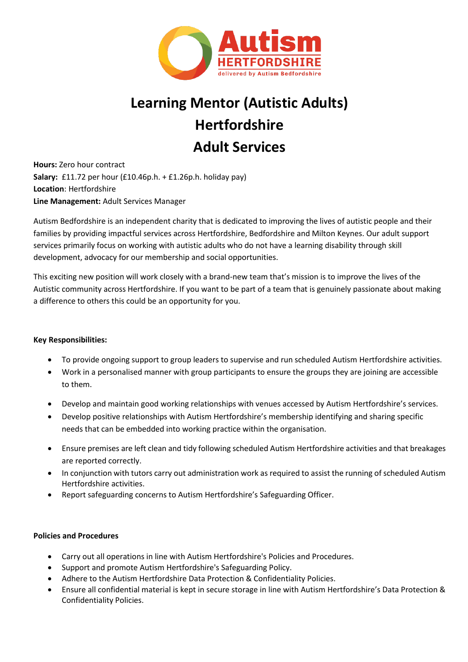

# **Learning Mentor (Autistic Adults) Hertfordshire Adult Services**

**Hours:** Zero hour contract **Salary:** £11.72 per hour (£10.46p.h. + £1.26p.h. holiday pay) **Location**: Hertfordshire **Line Management:** Adult Services Manager

Autism Bedfordshire is an independent charity that is dedicated to improving the lives of autistic people and their families by providing impactful services across Hertfordshire, Bedfordshire and Milton Keynes. Our adult support services primarily focus on working with autistic adults who do not have a learning disability through skill development, advocacy for our membership and social opportunities.

This exciting new position will work closely with a brand-new team that's mission is to improve the lives of the Autistic community across Hertfordshire. If you want to be part of a team that is genuinely passionate about making a difference to others this could be an opportunity for you.

## **Key Responsibilities:**

- To provide ongoing support to group leaders to supervise and run scheduled Autism Hertfordshire activities.
- Work in a personalised manner with group participants to ensure the groups they are joining are accessible to them.
- Develop and maintain good working relationships with venues accessed by Autism Hertfordshire's services.
- Develop positive relationships with Autism Hertfordshire's membership identifying and sharing specific needs that can be embedded into working practice within the organisation.
- Ensure premises are left clean and tidy following scheduled Autism Hertfordshire activities and that breakages are reported correctly.
- In conjunction with tutors carry out administration work as required to assist the running of scheduled Autism Hertfordshire activities.
- Report safeguarding concerns to Autism Hertfordshire's Safeguarding Officer.

### **Policies and Procedures**

- Carry out all operations in line with Autism Hertfordshire's Policies and Procedures.
- Support and promote Autism Hertfordshire's Safeguarding Policy.
- Adhere to the Autism Hertfordshire Data Protection & Confidentiality Policies.
- Ensure all confidential material is kept in secure storage in line with Autism Hertfordshire's Data Protection & Confidentiality Policies.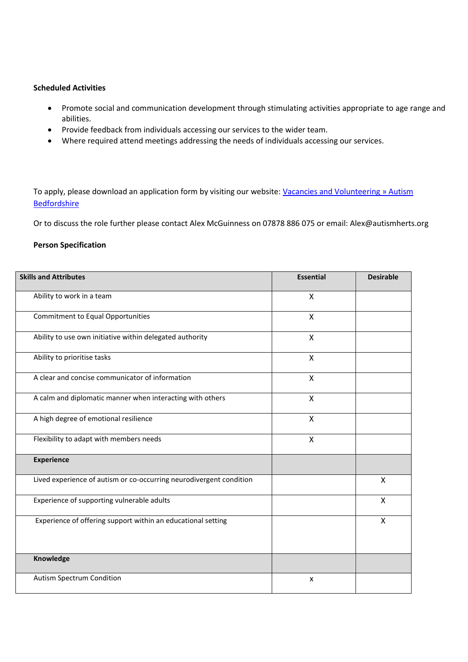#### **Scheduled Activities**

- Promote social and communication development through stimulating activities appropriate to age range and abilities.
- Provide feedback from individuals accessing our services to the wider team.
- Where required attend meetings addressing the needs of individuals accessing our services.

To apply, please download an application form by visiting our website: Vacancies and Volunteering » Autism **[Bedfordshire](https://www.autismbedfordshire.net/vacancies-and-volunteering/)** 

Or to discuss the role further please contact Alex McGuinness on 07878 886 075 or email: Alex@autismherts.org

#### **Person Specification**

| <b>Skills and Attributes</b>                                        | <b>Essential</b> | <b>Desirable</b> |
|---------------------------------------------------------------------|------------------|------------------|
| Ability to work in a team                                           | X                |                  |
| <b>Commitment to Equal Opportunities</b>                            | $\mathsf{x}$     |                  |
| Ability to use own initiative within delegated authority            | X                |                  |
| Ability to prioritise tasks                                         | X                |                  |
| A clear and concise communicator of information                     | X                |                  |
| A calm and diplomatic manner when interacting with others           | $\mathsf{x}$     |                  |
| A high degree of emotional resilience                               | X                |                  |
| Flexibility to adapt with members needs                             | X                |                  |
| <b>Experience</b>                                                   |                  |                  |
| Lived experience of autism or co-occurring neurodivergent condition |                  | X                |
| Experience of supporting vulnerable adults                          |                  | X                |
| Experience of offering support within an educational setting        |                  | X                |
| Knowledge                                                           |                  |                  |
| Autism Spectrum Condition                                           | X                |                  |